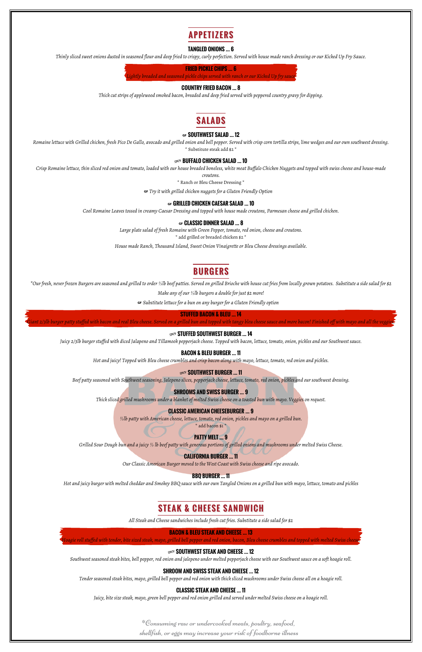

#### **TANGLED ONIONS … 6**

*Thinly sliced sweet onions dusted in seasoned flour and deep fried to crispy, curly perfection. Served with house made ranch dressing or our Kicked Up Fry Sauce.*

**FRIED PICKLE CHIPS … 6**

*Lightly breaded and seasoned pickle chips served with ranch or our Kicked Up fry sauce*

#### **COUNTRY FRIED BACON … 8**

*Thick cut strips of applewood smoked bacon, breaded and deep fried served with peppered country gravy for dipping.*

# **SALADS**

#### … **SOUTHWEST SALAD … 12**

*Romaine lettuce with Grilled chicken, fresh Pico De Gallo, avocado and grilled onion and bell pepper. Served with crisp corn tortilla strips, lime wedges and our own southwest dressing.* \* Substitute steak add \$2 \*

#### **SDICY BUFFALO CHICKEN SALAD ... 10**

*Crisp Romaine lettuce, thin sliced red onion and tomato, loaded with our house breaded boneless, white meat Buffalo Chicken Nuggets and topped with swiss cheese and house-made*

*croutons.*

\* Ranch or Bleu Cheese Dressing \*

… *Try it with grilled chicken nuggets for a Gluten Friendly Option*

#### … **GRILLED CHICKEN CAESAR SALAD … 10**

*Cool Romaine Leaves tossed in creamy Caesar Dressing and topped with house made croutons, Parmesan cheese and grilled chicken.*

#### … **CLASSIC DINNER SALAD … 8**

*Large plate salad of fresh Romaine with Green Pepper, tomato, red onion, cheese and croutons.*

\* add grilled or breaded chicken \$2 \*

*House made Ranch, Thousand Island, Sweet Onion Vinaigrette or Bleu Cheese dressings available.*

## **BURGERS**

*\*Our fresh, never frozen Burgers are seasoned and grilled to order ⅓lb beef patties. Served on grilled Brioche with house cut fries from locally grown potatoes. Substitute a side salad for \$2*

*Make any of our ⅓lb burgers a double for just \$2 more!*

… *Substitute lettuce for a bun on any burger for a Gluten Friendly option*

#### **STUFFED BACON & BLEU … 14**

*Giant 2/3lb burger patty stuffed with bacon and real Bleu cheese. Served on a grilled bun and topped with tangy bleu cheese sauce and more bacon! Finished off with mayo and all the veggies.*

#### **SPICY STUFFED SOUTHWEST BURGER ... 14**

*Juicy 2/3lb burger stuffed with diced Jalapeno and Tillamook pepperjack cheese. Topped with bacon, lettuce, tomato, onion, pickles and our Southwest sauce.*

#### **BACON & BLEU BURGER … 11**

*Hot and juicy! Topped with Bleu cheese crumbles and crisp bacon along with mayo, lettuce, tomato, red onion and pickles.*

#### **SDICY SOUTHWEST BURGER ... 11**

*Beef patty seasoned with Southwest seasoning, Jalepeno slices, pepperjack cheese, lettuce, tomato, red onion, pickles and our southwest dressing.*

### **SHROOMS AND SWISS BURGER … 9**

*Thick sliced grilled mushrooms under a blanket of melted Swiss cheese on a toasted bun with mayo. Veggies on request.*

#### **CLASSIC AMERICAN CHEESEBURGER … 9**

*⅓lb patty with American cheese, lettuce, tomato, red onion, pickles and mayo on a grilled bun.* \* add bacon \$1 \*

### **PATTY MELT … 9**

*Grilled Sour Dough bun and a juicy ⅓ lb beef patty with generous portions of grilled onions and mushrooms under melted Swiss Cheese.*

### **CALIFORNIA BURGER … 11**

*Our Classic American Burger moved to the West Coast with Swiss cheese and ripe avocado.*

#### **BBQ BURGER … 11**

*Hot and juicy burger with melted cheddar and Smokey BBQ sauce with our own Tangled Onions on a grilled bun with mayo, lettuce, tomato and pickles*

## **STEAK & CHEESE SANDWICH**

*All Steak and Cheese sandwiches include fresh cut fries. Substitute a side salad for \$2*

#### **BACON & BLEU STEAK AND CHEESE … 13**

*Hoagie roll stuffed with tender, bite sized steak, mayo, grilled bell pepper and red onion, bacon, Bleu cheese crumbles and topped with melted Swiss cheese.*

### **SDUTHWEST STEAK AND CHEESE ... 12**

*Southwest seasoned steak bites, bell pepper, red onion and jalepeno under melted pepperjack cheese with our Southwest sauce on a soft hoagie roll.*

### **SHROOM AND SWISS STEAK AND CHEESE … 12**

*Tender seasoned steak bites, mayo, grilled bell pepper and red onion with thick sliced mushrooms under Swiss cheese all on a hoagie roll.*

### **CLASSIC STEAK AND CHEESE … 11**

*Juicy, bite size steak, mayo, green bell pepper and red onion grilled and served under melted Swiss cheese on a hoagie roll.*

\*Consuming raw or undercooked meats, poultry, seafood, shellfish, or eggs may increase your risk of foodborne illness